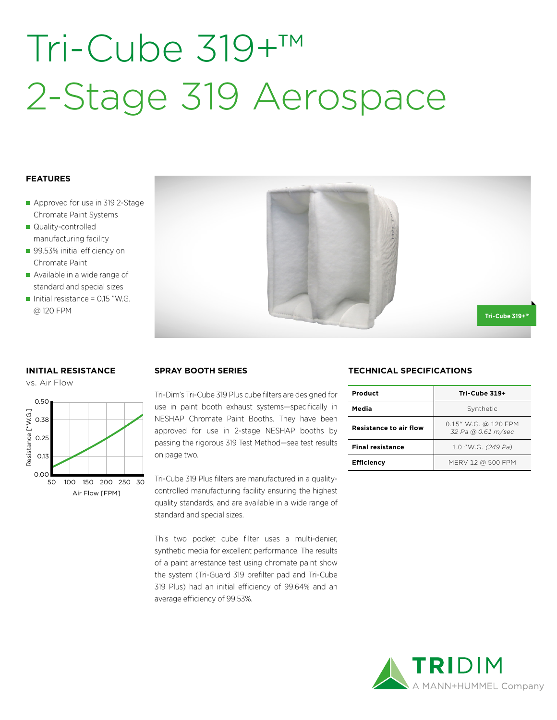# Tri-Cube 319+™ 2-Stage 319 Aerospace

## **FEATURES**

- Approved for use in 319 2-Stage Chromate Paint Systems
- Quality-controlled manufacturing facility
- 99.53% initial efficiency on Chromate Paint
- Available in a wide range of standard and special sizes
- Initial resistance =  $0.15$  "W.G. @ 120 FPM



## **INITIAL RESISTANCE**





Tri-Dim's Tri-Cube 319 Plus cube filters are designed for use in paint booth exhaust systems—specifically in NESHAP Chromate Paint Booths. They have been approved for use in 2-stage NESHAP booths by passing the rigorous 319 Test Method—see test results on page two.

Tri-Cube 319 Plus filters are manufactured in a qualitycontrolled manufacturing facility ensuring the highest quality standards, and are available in a wide range of standard and special sizes.

This two pocket cube filter uses a multi-denier, synthetic media for excellent performance. The results of a paint arrestance test using chromate paint show the system (Tri-Guard 319 prefilter pad and Tri-Cube 319 Plus) had an initial efficiency of 99.64% and an average efficiency of 99.53%.

## **SPRAY BOOTH SERIES TECHNICAL SPECIFICATIONS**

| Product                       | Tri-Cube 319+                              |  |  |
|-------------------------------|--------------------------------------------|--|--|
| Media                         | Synthetic                                  |  |  |
| <b>Resistance to air flow</b> | 0.15" W.G. @ 120 FPM<br>32 Pa @ 0.61 m/sec |  |  |
| <b>Final resistance</b>       | 1.0 "W.G. (249 Pa)                         |  |  |
| <b>Efficiency</b>             | MERV 12 @ 500 FPM                          |  |  |